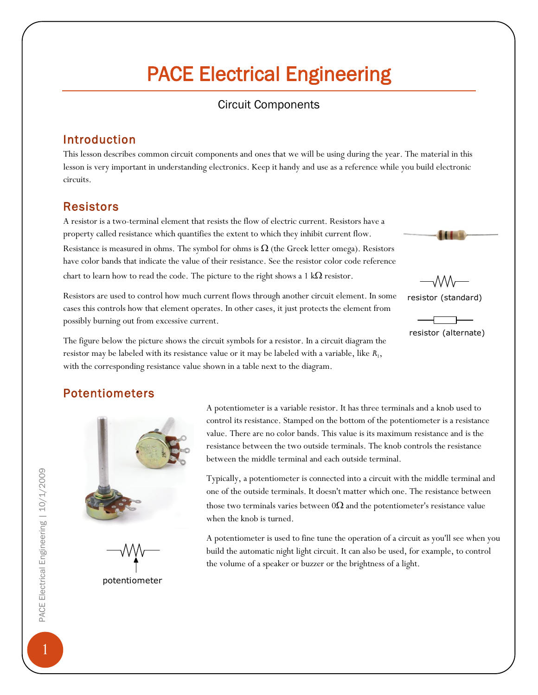# PACE Electrical Engineering

## Circuit Components

## Introduction

This lesson describes common circuit components and ones that we will be using during the year. The material in this lesson is very important in understanding electronics. Keep it handy and use as a reference while you build electronic circuits.

## Resistors

A resistor is a two-terminal element that resists the flow of electric current. Resistors have a property called resistance which quantifies the extent to which they inhibit current flow. Resistance is measured in ohms. The symbol for ohms is  $\Omega$  (the Greek letter omega). Resistors have color bands that indicate the value of their resistance. See the resistor color code reference chart to learn how to read the code. The picture to the right shows a 1  $k\Omega$  resistor.

Resistors are used to control how much current flows through another circuit element. In some cases this controls how that element operates. In other cases, it just protects the element from possibly burning out from excessive current.



resistor (alternate)

The figure below the picture shows the circuit symbols for a resistor. In a circuit diagram the resistor may be labeled with its resistance value or it may be labeled with a variable, like  $R_1$ , with the corresponding resistance value shown in a table next to the diagram.

# Potentiometers



potentiometer

A potentiometer is a variable resistor. It has three terminals and a knob used to control its resistance. Stamped on the bottom of the potentiometer is a resistance value. There are no color bands. This value is its maximum resistance and is the resistance between the two outside terminals. The knob controls the resistance between the middle terminal and each outside terminal.

Typically, a potentiometer is connected into a circuit with the middle terminal and one of the outside terminals. It doesn't matter which one. The resistance between those two terminals varies between  $0\Omega$  and the potentiometer's resistance value when the knob is turned.

A potentiometer is used to fine tune the operation of a circuit as you'll see when you build the automatic night light circuit. It can also be used, for example, to control the volume of a speaker or buzzer or the brightness of a light.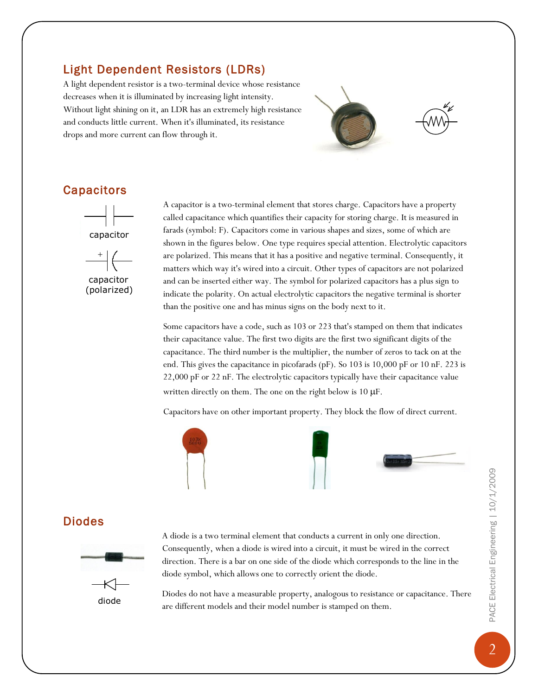# Light Dependent Resistors (LDRs)

A light dependent resistor is a two-terminal device whose resistance decreases when it is illuminated by increasing light intensity. Without light shining on it, an LDR has an extremely high resistance and conducts little current. When it's illuminated, its resistance drops and more current can flow through it.



## **Capacitors**



A capacitor is a two-terminal element that stores charge. Capacitors have a property called capacitance which quantifies their capacity for storing charge. It is measured in farads (symbol: F). Capacitors come in various shapes and sizes, some of which are shown in the figures below. One type requires special attention. Electrolytic capacitors are polarized. This means that it has a positive and negative terminal. Consequently, it matters which way it's wired into a circuit. Other types of capacitors are not polarized and can be inserted either way. The symbol for polarized capacitors has a plus sign to indicate the polarity. On actual electrolytic capacitors the negative terminal is shorter than the positive one and has minus signs on the body next to it.

Some capacitors have a code, such as 103 or 223 that's stamped on them that indicates their capacitance value. The first two digits are the first two significant digits of the capacitance. The third number is the multiplier, the number of zeros to tack on at the end. This gives the capacitance in picofarads (pF). So 103 is 10,000 pF or 10 nF. 223 is 22,000 pF or 22 nF. The electrolytic capacitors typically have their capacitance value written directly on them. The one on the right below is  $10 \mu$ F.

Capacitors have on other important property. They block the flow of direct current.



#### Diodes



A diode is a two terminal element that conducts a current in only one direction. Consequently, when a diode is wired into a circuit, it must be wired in the correct direction. There is a bar on one side of the diode which corresponds to the line in the diode symbol, which allows one to correctly orient the diode.

Diodes do not have a measurable property, analogous to resistance or capacitance. There are different models and their model number is stamped on them.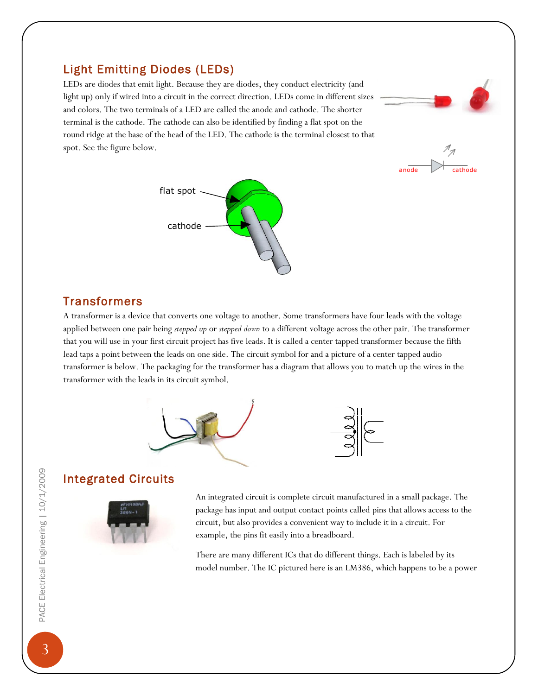## Light Emitting Diodes (LEDs)

LEDs are diodes that emit light. Because they are diodes, they conduct electricity (and light up) only if wired into a circuit in the correct direction. LEDs come in different sizes and colors. The two terminals of a LED are called the anode and cathode. The shorter terminal is the cathode. The cathode can also be identified by finding a flat spot on the round ridge at the base of the head of the LED. The cathode is the terminal closest to that spot. See the figure below.





## **Transformers**

A transformer is a device that converts one voltage to another. Some transformers have four leads with the voltage applied between one pair being *stepped up* or *stepped down* to a different voltage across the other pair. The transformer that you will use in your first circuit project has five leads. It is called a center tapped transformer because the fifth lead taps a point between the leads on one side. The circuit symbol for and a picture of a center tapped audio transformer is below. The packaging for the transformer has a diagram that allows you to match up the wires in the transformer with the leads in its circuit symbol.



## Integrated Circuits



An integrated circuit is complete circuit manufactured in a small package. The package has input and output contact points called pins that allows access to the circuit, but also provides a convenient way to include it in a circuit. For example, the pins fit easily into a breadboard.

There are many different ICs that do different things. Each is labeled by its model number. The IC pictured here is an LM386, which happens to be a power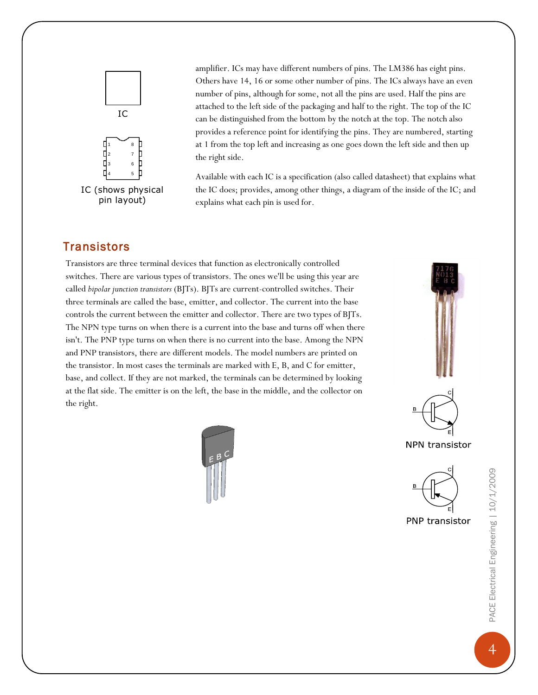

amplifier. ICs may have different numbers of pins. The LM386 has eight pins. Others have 14, 16 or some other number of pins. The ICs always have an even number of pins, although for some, not all the pins are used. Half the pins are attached to the left side of the packaging and half to the right. The top of the IC can be distinguished from the bottom by the notch at the top. The notch also provides a reference point for identifying the pins. They are numbered, starting at 1 from the top left and increasing as one goes down the left side and then up the right side.

Available with each IC is a specification (also called datasheet) that explains what the IC does; provides, among other things, a diagram of the inside of the IC; and explains what each pin is used for.

### **Transistors**

Transistors are three terminal devices that function as electronically controlled switches. There are various types of transistors. The ones we'll be using this year are called *bipolar junction transistors* (BJTs). BJTs are current-controlled switches. Their three terminals are called the base, emitter, and collector. The current into the base controls the current between the emitter and collector. There are two types of BJTs. The NPN type turns on when there is a current into the base and turns off when there isn't. The PNP type turns on when there is no current into the base. Among the NPN and PNP transistors, there are different models. The model numbers are printed on the transistor. In most cases the terminals are marked with E, B, and C for emitter, base, and collect. If they are not marked, the terminals can be determined by looking at the flat side. The emitter is on the left, the base in the middle, and the collector on the right.







NPN transistor



PNP transistor

PACE Electrical Engineering | 10/1/2009 PACE Electrical Engineering | 10/1/2009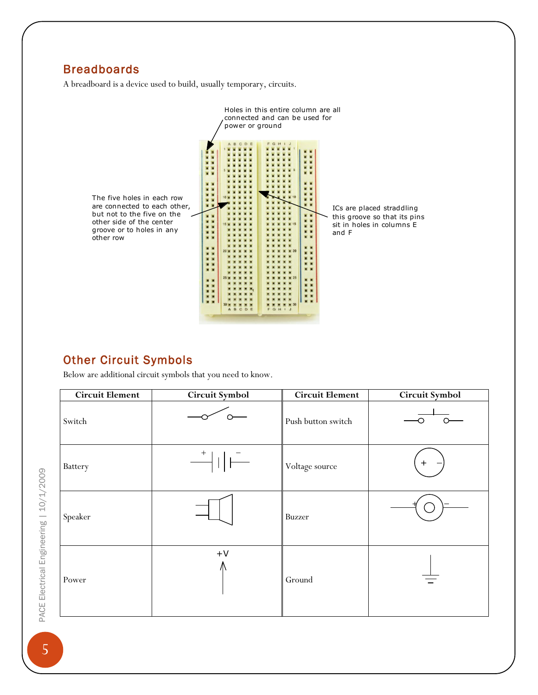# **Breadboards**

A breadboard is a device used to build, usually temporary, circuits.



## Other Circuit Symbols

Below are additional circuit symbols that you need to know.

| <b>Circuit Element</b> | Circuit Symbol                                                                                                                                                                                                                                                                                                                                                                                                                                                                                                                                                                                                                                                                                                                                 | <b>Circuit Element</b> | Circuit Symbol |
|------------------------|------------------------------------------------------------------------------------------------------------------------------------------------------------------------------------------------------------------------------------------------------------------------------------------------------------------------------------------------------------------------------------------------------------------------------------------------------------------------------------------------------------------------------------------------------------------------------------------------------------------------------------------------------------------------------------------------------------------------------------------------|------------------------|----------------|
| Switch                 |                                                                                                                                                                                                                                                                                                                                                                                                                                                                                                                                                                                                                                                                                                                                                | Push button switch     |                |
| Battery                | $\begin{tabular}{c} $\longrightarrow$ \begin{tabular}{ c c c c c } \hline $\rightarrow$ & $\rightarrow$ & $\longleftarrow$ \\ \hline $\longrightarrow$ & $\longleftarrow$ & $\longleftarrow$ \\ \hline $\longrightarrow$ & $\longleftarrow$ & $\longleftarrow$ \\ \hline $\longrightarrow$ & $\longleftarrow$ & $\longleftarrow$ \\ \hline $\longrightarrow$ & $\longleftarrow$ & $\longleftarrow$ & $\longleftarrow$ \\ \hline $\longrightarrow$ & $\longleftarrow$ & $\longleftarrow$ & $\longleftarrow$ \\ \hline $\longrightarrow$ & $\longleftarrow$ & $\longleftarrow$ & $\longleftarrow$ & $\longleftarrow$ \\ \hline $\longrightarrow$ & $\longleftarrow$ & $\longleftarrow$ & $\longleftarrow$ & $\longleftarrow$ & $\longleftarrow$$ | Voltage source         | $\, +$         |
| Speaker                |                                                                                                                                                                                                                                                                                                                                                                                                                                                                                                                                                                                                                                                                                                                                                | <b>Buzzer</b>          |                |
| Power                  | $+\mathsf{V}$                                                                                                                                                                                                                                                                                                                                                                                                                                                                                                                                                                                                                                                                                                                                  | Ground                 |                |

PACE Electrical Engineering | 10/1/2009 PACE Electrical Engineering | 10/1/2009